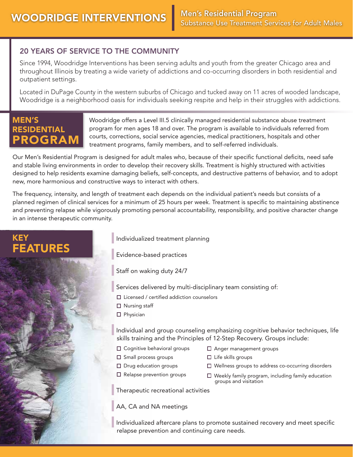### 20 YEARS OF SERVICE TO THE COMMUNITY

Since 1994, Woodridge Interventions has been serving adults and youth from the greater Chicago area and throughout Illinois by treating a wide variety of addictions and co-occurring disorders in both residential and outpatient settings.

Located in DuPage County in the western suburbs of Chicago and tucked away on 11 acres of wooded landscape, Woodridge is a neighborhood oasis for individuals seeking respite and help in their struggles with addictions.

## MEN'S RESIDENTIAL ROGRA

KEY

FEATURES

Woodridge offers a Level III.5 clinically managed residential substance abuse treatment program for men ages 18 and over. The program is available to individuals referred from courts, corrections, social service agencies, medical practitioners, hospitals and other treatment programs, family members, and to self-referred individuals.

Our Men's Residential Program is designed for adult males who, because of their specific functional deficits, need safe and stable living environments in order to develop their recovery skills. Treatment is highly structured with activities designed to help residents examine damaging beliefs, self-concepts, and destructive patterns of behavior, and to adopt new, more harmonious and constructive ways to interact with others.

The frequency, intensity, and length of treatment each depends on the individual patient's needs but consists of a planned regimen of clinical services for a minimum of 25 hours per week. Treatment is specific to maintaining abstinence and preventing relapse while vigorously promoting personal accountability, responsibility, and positive character change in an intense therapeutic community.



Staff on waking duty 24/7

Services delivered by multi-disciplinary team consisting of:

- $\square$  Licensed / certified addiction counselors
- □ Nursing staff
- $\square$  Physician

Individual and group counseling emphasizing cognitive behavior techniques, life skills training and the Principles of 12-Step Recovery. Groups include:

- □ Cognitive behavioral groups
- Anger management groups
- $\square$  Small process groups
- 
- $\square$  Drug education groups
- $\square$  Life skills groups Wellness groups to address co-occurring disorders
- $\Box$  Relapse prevention groups
- $\Box$  Weekly family program, including family education groups and visitation

Therapeutic recreational activities

AA, CA and NA meetings

Individualized aftercare plans to promote sustained recovery and meet specific relapse prevention and continuing care needs.